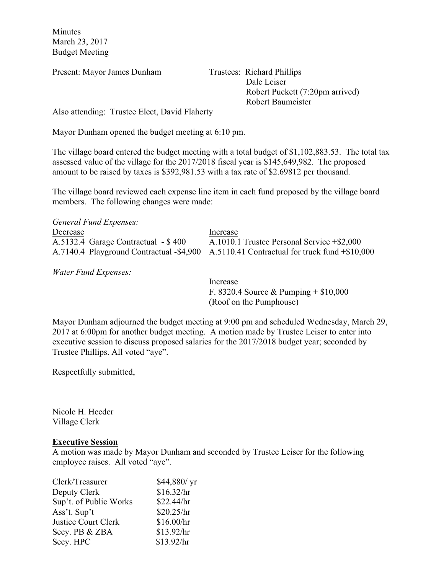Minutes March 23, 2017 Budget Meeting

Present: Mayor James Dunham Trustees: Richard Phillips

 Dale Leiser Robert Puckett (7:20pm arrived) Robert Baumeister

Also attending: Trustee Elect, David Flaherty

Mayor Dunham opened the budget meeting at 6:10 pm.

The village board entered the budget meeting with a total budget of \$1,102,883.53. The total tax assessed value of the village for the 2017/2018 fiscal year is \$145,649,982. The proposed amount to be raised by taxes is \$392,981.53 with a tax rate of \$2.69812 per thousand.

The village board reviewed each expense line item in each fund proposed by the village board members. The following changes were made:

| General Fund Expenses:              |                                                                                         |
|-------------------------------------|-----------------------------------------------------------------------------------------|
| Decrease                            | Increase                                                                                |
| A.5132.4 Garage Contractual - \$400 | A.1010.1 Trustee Personal Service +\$2,000                                              |
|                                     | A.7140.4 Playground Contractual -\$4,900 A.5110.41 Contractual for truck fund +\$10,000 |

*Water Fund Expenses:*

Increase F. 8320.4 Source & Pumping + \$10,000 (Roof on the Pumphouse)

Mayor Dunham adjourned the budget meeting at 9:00 pm and scheduled Wednesday, March 29, 2017 at 6:00pm for another budget meeting. A motion made by Trustee Leiser to enter into executive session to discuss proposed salaries for the 2017/2018 budget year; seconded by Trustee Phillips. All voted "aye".

Respectfully submitted,

Nicole H. Heeder Village Clerk

## **Executive Session**

A motion was made by Mayor Dunham and seconded by Trustee Leiser for the following employee raises. All voted "aye".

| Clerk/Treasurer        | \$44,880/ yr |
|------------------------|--------------|
| Deputy Clerk           | \$16.32/hr   |
| Sup't. of Public Works | \$22.44/hr   |
| Ass't. Sup't           | \$20.25/hr   |
| Justice Court Clerk    | \$16.00/hr   |
| Secy. PB & ZBA         | \$13.92/hr   |
| Secy. HPC              | \$13.92/hr   |